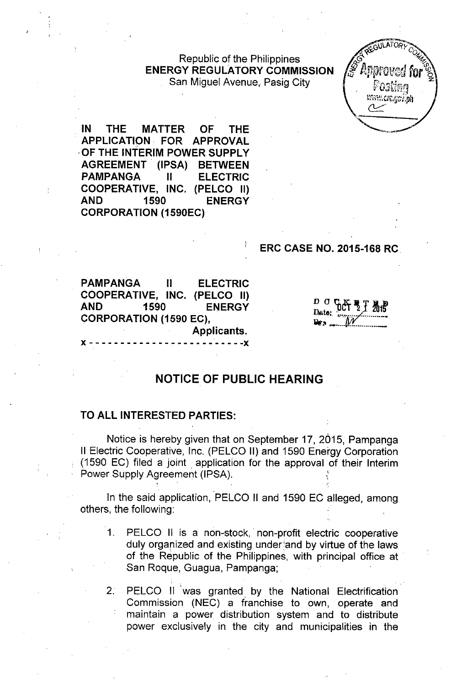Republic of the Philippines **ENERGY REGULATORY COMMISSION** San Miguel Avenue, Pasig City



**IN THE MATTER OF THE APPLICATION. FOR APPROVAL .OF THE INTERIM POWER SUPPLY AGREEMENT (IPSA) BETWEEN PAMPANGA II ELECTRIC COOPERATIVE, INC. (PELCO II) AND 1590 ENERGY CORPORATION (1590EC)**

## **ERC CASE NO. 2015-168 RC**

**PAMPANGA II ELECTRIC COOPERATIVE, INC. (PELCO II) AND 1590 ENERGY CORPORATION (1590 EC), Applicants.**

x - - - - - - - - - - - - - - - - - - - - - - - - -x

 $D$   $\sigma$   $c$ **Ql-JO \_ \_\_**

# **NOTICE OF PUBLIC HEARING**

#### **TO ALL INTERESTED PARTIES:**

Notice is hereby given that on September 17, 2015, Pampanga II Electric Cooperative, Inc. (PELCO II) and 1590 Energy Corporation (1590 EC) filed a joint application for the approval of their Interim Power Supply Agreement (IPSA).

In the said application, PELCO II and 1590 EC alleged, among others, the following:

- 1. PELCO II is a non-stock, non-profit electric cooperative duly organized and existing under'and by virtue of the laws of the Republic of the Philippines, with principal office at San Roque, Guagua, Pampanga;
- 2. PELCO II 'was granted by the National Electrification Commission (NEC) a franchise to own, operate and maintain a power distribution system and to distribute power exclusively in the city and municipalities in the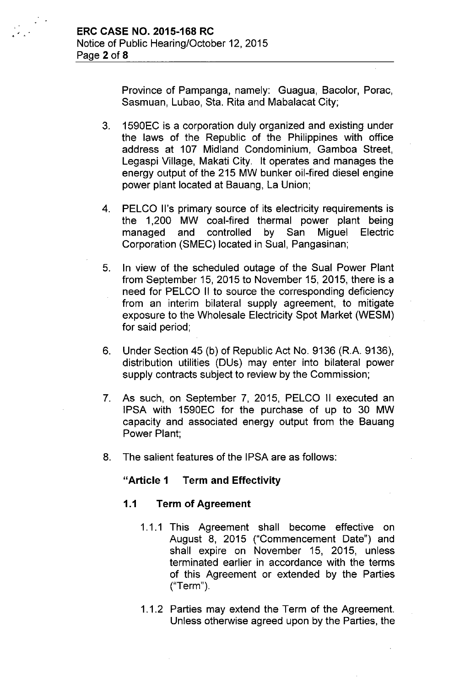Province of Pampanga, namely: Guagua, Bacolor, Porac, Sasmuan, Lubao, Sta. Rita and Mabalacat City;

- 3. 1590EC is a corporation duly organized and existing under the laws of the Republic of the Philippines with office address at 107 Midland Condominium, Gamboa Street, Legaspi Village, Makati City. It operates and manages the energy output of the 215 MW bunker oil-fired diesel engine power plant located at Bauang, La Union;
- 4. PELCO II's primary source of its electricity requirements is the 1,200 MW coal-fired thermal power plant being managed and controlled by San Miguel Electric Corporation (SMEC) located in Sual, Pangasinan;
- 5. In view of the scheduled outage of the Sual Power Plant from September 15, 2015 to November 15, 2015, there is a need for PELCO II to source the corresponding deficiency from an interim bilateral supply agreement, to mitigate exposure to the Wholesale Electricity Spot Market (WESM) for said period;
- 6. Under Section 45 (b) of Republic Act No. 9136 (R.A. 9136), distribution utilities (DUs) may enter into bilateral power supply contracts subject to review by the Commission;
- 7. As such, on September 7, 2015, PELCO II executed an IPSA with 1590EC for the purchase of up to 30 MW capacity and associated energy output from the Bauang Power Plant;
- 8. The salient features of the IPSA are as follows:

# "Article 1 Term and Effectivity

#### 1.1 Term of Agreement

- 1.1.1 This Agreement shall become effective on August 8, 2015 ("Commencement Date") and shall expire on November 15, 2015, unless terminated earlier in accordance with the terms of this Agreement or extended by the Parties ("Term").
- 1.1.2 Parties may extend the Term of the Agreement. Unless otherwise agreed upon by the Parties, the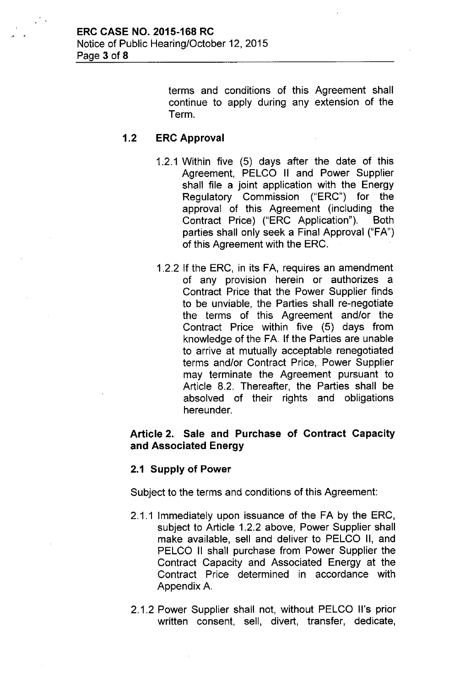terms and conditions of this Agreement shall continue to apply during any extension of the Term.

# 1.2 ERC Approval

- 1.2.1 Within five (5) days after the date of this Agreement, PELCO II and Power Supplier shall file a joint application with the Energy Regulatory Commission ("ERC") for the approval of this Agreement (including the Contract Price) ("ERC Application"). Both parties shall only seek a Final Approval ("FA") of this Agreement with the ERC.
- 1.2.2 If the ERC, in its FA, requires an amendment of any provision herein or authorizes a Contract Price that the Power Supplier finds to be unviable, the Parties shall re-negotiate the terms of this Agreement and/or the Contract Price within five (5) days from knowledge of the FA. If the Parties are unable to arrive at mutually acceptable renegotiated terms and/or Contract Price, Power Supplier may terminate the Agreement pursuant to Article 8.2. Thereafter, the Parties shall be absolved of their rights and obligations hereunder.

# Article 2. Sale and Purchase of Contract Capacity and Associated Energy

#### 2.1 Supply of Power

Subject to the terms and conditions of this Agreement:

- 2.1.1 Immediately upon issuance of the FA by the ERC, subject to Article 1.2.2 above, Power Supplier shall make available, sell and deliver to PELCO II, and PELCO II shall purchase from Power Supplier the Contract Capacity and Associated Energy at the Contract Price determined in accordance with Appendix A.
- 2.1.2 Power Supplier shall not, without PELCO II's prior written consent, sell, divert, transfer, dedicate,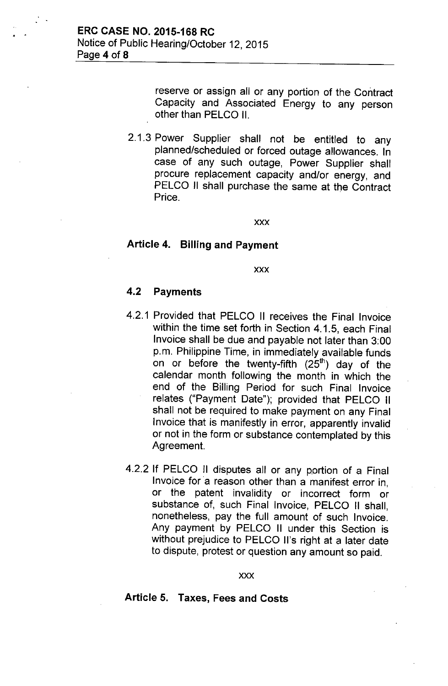reserve or assign all or any portion of the Contract Capacity and Associated Energy to any person other than PELCO II.

2.1.3 Power Supplier shall not be entitled to any planned/scheduled or forced outage allowances. In case of any such outage, Power Supplier shall procure replacement capacity and/or energy, and PELCO II shall purchase the same at the Contract Price.

xxx

### Article 4. Billing and Payment

xxx

### 4.2 Payments

- 4.2.1 Provided that PELCO II receives the Final Invoice within the time set forth in Section 4.1.5, each Final Invoice shall be due and payable not later than 3:00 p.m. Philippine Time, in immediately available funds on or before the twenty-fifth  $(25<sup>th</sup>)$  day of the calendar month following the month in which the end of the Billing Period for such Final Invoice relates ("Payment Date"); provided that PELCO II shall not be required to make payment on any Final Invoice that is manifestly in error, apparently invalid or not in the form or substance contemplated by this Agreement.
- 4.2.2 If PELCO II disputes all or any portion of a Final Invoice for a reason other than a manifest error in, or the patent invalidity or incorrect form or substance of, such Final Invoice, PELCO II shall, nonetheless, pay the full amount of such Invoice. Any payment by PELCO II under this Section is without prejudice to PELCO II's right at a later date to dispute, protest or question any amount so paid.

#### xxx

# Article 5. Taxes, Fees and Costs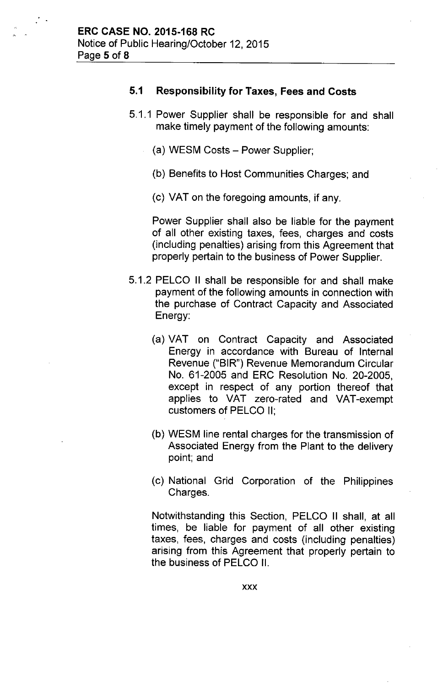## 5.1 Responsibility for Taxes, Fees and Costs

- 5.1.1 Power Supplier shall be responsible for and shall make timely payment of the following amounts:
	- (a) WESM Costs Power Supplier;
	- (b) Benefits to Host Communities Charges; and
	- (c) VAT on the foregoing amounts, if any.

Power Supplier shall also be liable for the payment of all other existing taxes, fees, charges and costs (including penalties) arising from this Agreement that properly pertain to the business of Power Supplier.

- 5.1.2 PELCO II shall be responsible for and shall make payment of the following amounts in connection with the purchase of Contract Capacity and Associated Energy:
	- (a) VAT on Contract Capacity and Associated Energy in accordance with Bureau of Internal Revenue ("BIR") Revenue Memorandum Circular No. 61-2005 and ERC Resolution No. 20-2005, except in respect of any portion thereof that applies to VAT zero-rated and VAT-exempt customers of PELCO II;
	- (b) WESM line rental charges for the transmission of Associated Energy from the Plant to the delivery point; and
	- (c) National Grid Corporation of the Philippines Charges.

Notwithstanding this Section, PELCO II shall, at all times, be liable for payment of all other existing taxes, fees, charges and costs (including penalties) arising from this Agreement that properly pertain to the business of PELCO II.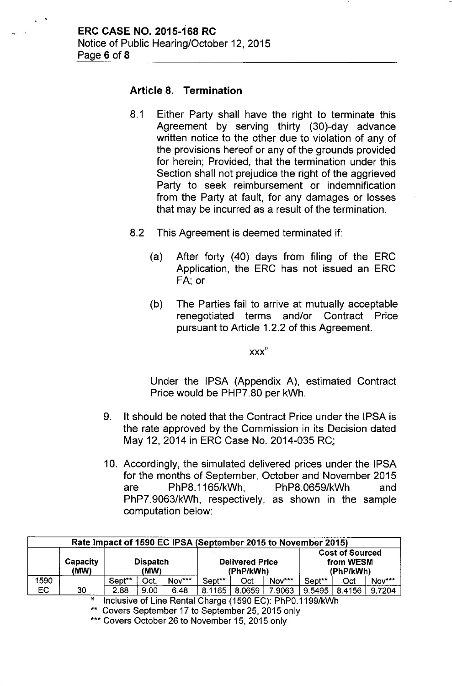# Article 8. Termination

- 8.1 Either Party shall have the right to terminate this Agreement by serving thirty (30)-day advance written notice to the other due to violation of any of the provisions hereof or any of the grounds provided for herein; Provided, that the termination under this Section shall not prejudice the right of the aggrieved Party to seek reimbursement or indemnification from the Party at fault, for any damages or losses that may be incurred as a result of the termination.
- 8.2 This Agreement is deemed terminated if:
	- (a) After forty (40) days from filing of the ERC Application, the ERC has not issued an ERC FA; or
	- (b) The Parties fail to arrive at mutually acceptable renegotiated terms and/or Contract Price pursuant to Article 1.2.2 of this Agreement.

xxx"

Under the IPSA (Appendix A), estimated Contract Price would be PHP7.80 per kWh.

- 9. It should be noted that the Contract Price under the IPSA is the rate approved by the Commission in its Decision dated May 12, 2014 in ERC Case No. 2014-035 RC.;
- 10. Accordingly, the simulated delivered prices under the IPSA for the months of September, October and November 2015 are PhP8.1165/kWh, PhP8.0659/kWh and PhP7.9063/kWh, respectively, as shown in the sample computation below:

| Rate Impact of 1590 EC IPSA (September 2015 to November 2015) |                         |                         |      |        |                                     |        |        |                                                  |        |        |  |
|---------------------------------------------------------------|-------------------------|-------------------------|------|--------|-------------------------------------|--------|--------|--------------------------------------------------|--------|--------|--|
|                                                               | <b>Capacity</b><br>(MW) | <b>Dispatch</b><br>(MW) |      |        | <b>Delivered Price</b><br>(PhP/kWh) |        |        | <b>Cost of Sourced</b><br>from WESM<br>(PhP/kWh) |        |        |  |
| 1590                                                          |                         | Sept**                  | Oct. | Nov*** | Sept**                              | Oct    | Nov*** | Sept <sup>**</sup>                               | Oct    | Nov*** |  |
| <b>EC</b>                                                     | 30                      | 2.88                    | 9.00 | 6.48   | 8.1165                              | 8.0659 | 7.9063 | 9.5495                                           | 8.4156 | 9.7204 |  |
| $Inability of Line$ Dontal Charge (1500 EC). DLDO 1400/LML    |                         |                         |      |        |                                     |        |        |                                                  |        |        |  |

Inclusive of Line Rental Charge (1590 EC): PhP0.1199/kWh

'\* Covers September 17 to September 25, 2015 only

\*\*\* Covers October 26 to November 15, 2015 only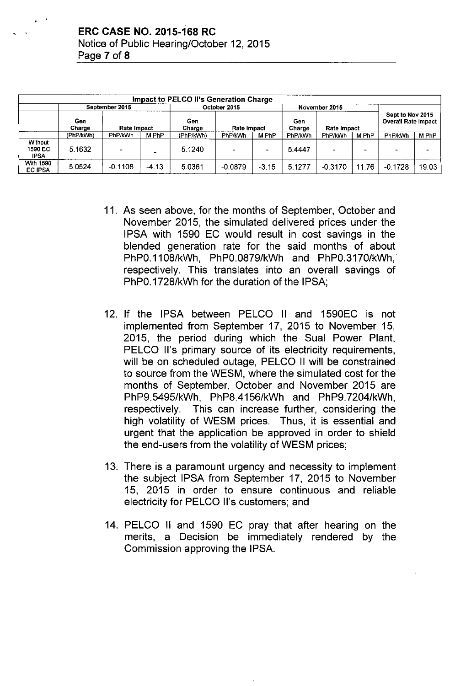| Impact to PELCO II's Generation Charge |               |                    |         |               |                    |         |                |                    |                                                |           |       |  |
|----------------------------------------|---------------|--------------------|---------|---------------|--------------------|---------|----------------|--------------------|------------------------------------------------|-----------|-------|--|
|                                        |               | September 2015     |         | October 2015  |                    |         |                | November 2015      | Sept to Nov 2015<br><b>Overall Rate Impact</b> |           |       |  |
|                                        | Gen<br>Charge | <b>Rate Impact</b> |         | Gen<br>Charge | <b>Rate Impact</b> |         | Gen<br>Charge  | <b>Rate Impact</b> |                                                |           |       |  |
|                                        | (PhP/kWh)     | PhP/kWh            | M PhP   | (PhP/kWh)     | PhP/kWh            | M PhP   | <b>PhP/kWh</b> | PhP/kWh            | M PhP                                          | PhP/kWh   | M PhP |  |
| Without<br>1590 EC<br><b>IPSA</b>      | 5.1632        |                    |         | 5.1240        |                    |         | 5.4447         |                    | -                                              |           |       |  |
| <b>With 1590</b><br><b>EC IPSA</b>     | 5.0524        | $-0.1108$          | $-4.13$ | 5.0361        | $-0.0879$          | $-3.15$ | 5.1277         | $-0.3170$          | 11.76                                          | $-0.1728$ | 19.03 |  |

- 11. As seen above, for the months of September, October and November 2015, the simulated delivered prices under the IPSA with 1590 EC would result in cost savings in the blended generation rate for the said months of about PhPO.1108/kWh, PhPO.0879/kWh and PhPO.3170/kWh, respectively. This translates into an overall savings of PhPO.1728/kWh for the duration of the IPSA;
- 12. If the IPSA between PELCO II and 1590EC is not implemented from September 17, 2015 to November 15, 2015, the period during which the Sual Power Plant, PELCO II's primary source of its electricity requirements, will be on scheduled outage, PELCO II will be constrained to source from the WESM, where the simulated cost for the months of September, October and November 2015 are PhP9.5495/kWh, PhP8.4156/kWh and PhP9.7204/kWh, respectively. This can increase further, considering the high volatility of WESM prices, Thus, it is essential and urgent that the application be approved in order to shield the end-users from the volatility of WESM prices;
- 13. There is a paramount urgency and necessity to implement the subject IPSA from September 17, 2015 to November 15, 2015 in order to ensure continuous and reliable electricity for PELCO II's customers; and
- 14. PELCO **II** and 1590 EC pray that after hearing on the merits, a Decision be immediately rendered by the Commission approving the IPSA